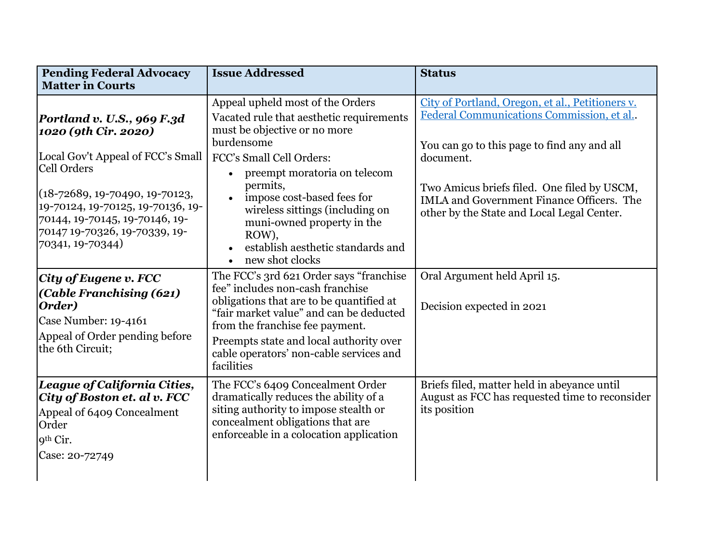| <b>Pending Federal Advocacy</b>                                                                                                                                                                                                                                                     | <b>Issue Addressed</b>                                                                                                                                                                                                                                                                                                                                                                                    | <b>Status</b>                                                                                                                                                                                                                                                                                             |
|-------------------------------------------------------------------------------------------------------------------------------------------------------------------------------------------------------------------------------------------------------------------------------------|-----------------------------------------------------------------------------------------------------------------------------------------------------------------------------------------------------------------------------------------------------------------------------------------------------------------------------------------------------------------------------------------------------------|-----------------------------------------------------------------------------------------------------------------------------------------------------------------------------------------------------------------------------------------------------------------------------------------------------------|
| <b>Matter in Courts</b>                                                                                                                                                                                                                                                             |                                                                                                                                                                                                                                                                                                                                                                                                           |                                                                                                                                                                                                                                                                                                           |
| Portland v. U.S., 969 F.3d<br>1020 (9th Cir. 2020)<br>Local Gov't Appeal of FCC's Small<br><b>Cell Orders</b><br>$(18 - 72689, 19 - 70490, 19 - 70123,$<br>19-70124, 19-70125, 19-70136, 19-<br>70144, 19-70145, 19-70146, 19-<br>70147 19-70326, 19-70339, 19-<br>70341, 19-70344) | Appeal upheld most of the Orders<br>Vacated rule that aesthetic requirements<br>must be objective or no more<br>burdensome<br>FCC's Small Cell Orders:<br>preempt moratoria on telecom<br>permits,<br>impose cost-based fees for<br>$\bullet$<br>wireless sittings (including on<br>muni-owned property in the<br>ROW),<br>establish aesthetic standards and<br>$\bullet$<br>new shot clocks<br>$\bullet$ | City of Portland, Oregon, et al., Petitioners v.<br>Federal Communications Commission, et al<br>You can go to this page to find any and all<br>document.<br>Two Amicus briefs filed. One filed by USCM,<br><b>IMLA and Government Finance Officers. The</b><br>other by the State and Local Legal Center. |
| City of Eugene v. FCC<br>(Cable Franchising (621)<br>Order)<br>Case Number: 19-4161<br>Appeal of Order pending before<br>the 6th Circuit;                                                                                                                                           | The FCC's 3rd 621 Order says "franchise<br>fee" includes non-cash franchise<br>obligations that are to be quantified at<br>"fair market value" and can be deducted<br>from the franchise fee payment.<br>Preempts state and local authority over<br>cable operators' non-cable services and<br>facilities                                                                                                 | Oral Argument held April 15.<br>Decision expected in 2021                                                                                                                                                                                                                                                 |
| League of California Cities,<br>City of Boston et. al v. FCC<br>Appeal of 6409 Concealment<br>Order<br>9 <sup>th</sup> Cir.<br>Case: 20-72749                                                                                                                                       | The FCC's 6409 Concealment Order<br>dramatically reduces the ability of a<br>siting authority to impose stealth or<br>concealment obligations that are<br>enforceable in a colocation application                                                                                                                                                                                                         | Briefs filed, matter held in abeyance until<br>August as FCC has requested time to reconsider<br>its position                                                                                                                                                                                             |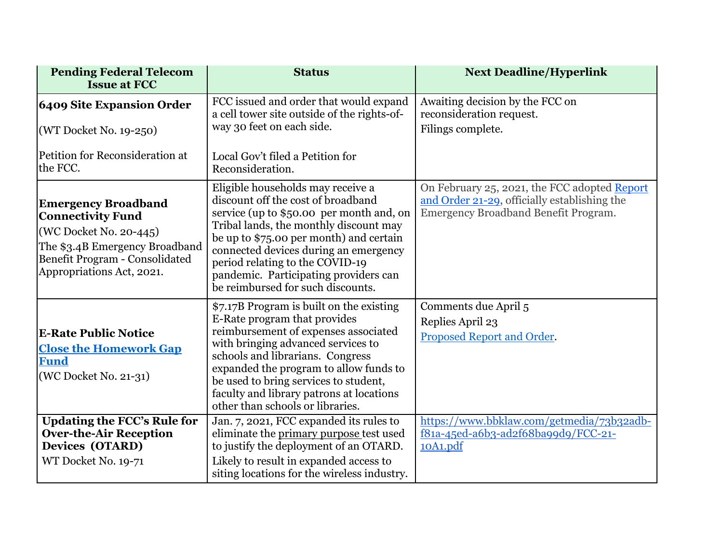| <b>Pending Federal Telecom</b><br><b>Issue at FCC</b>                                                                                                                             | <b>Status</b>                                                                                                                                                                                                                                                                                                                                                      | <b>Next Deadline/Hyperlink</b>                                                                                                       |
|-----------------------------------------------------------------------------------------------------------------------------------------------------------------------------------|--------------------------------------------------------------------------------------------------------------------------------------------------------------------------------------------------------------------------------------------------------------------------------------------------------------------------------------------------------------------|--------------------------------------------------------------------------------------------------------------------------------------|
| <b>6409 Site Expansion Order</b><br>(WT Docket No. 19-250)                                                                                                                        | FCC issued and order that would expand<br>a cell tower site outside of the rights-of-<br>way 30 feet on each side.                                                                                                                                                                                                                                                 | Awaiting decision by the FCC on<br>reconsideration request.<br>Filings complete.                                                     |
| Petition for Reconsideration at<br>the FCC.                                                                                                                                       | Local Gov't filed a Petition for<br>Reconsideration.                                                                                                                                                                                                                                                                                                               |                                                                                                                                      |
| <b>Emergency Broadband</b><br><b>Connectivity Fund</b><br>(WC Docket No. 20-445)<br>The \$3.4B Emergency Broadband<br>Benefit Program - Consolidated<br>Appropriations Act, 2021. | Eligible households may receive a<br>discount off the cost of broadband<br>service (up to \$50.00 per month and, on<br>Tribal lands, the monthly discount may<br>be up to \$75.00 per month) and certain<br>connected devices during an emergency<br>period relating to the COVID-19<br>pandemic. Participating providers can<br>be reimbursed for such discounts. | On February 25, 2021, the FCC adopted Report<br>and Order 21-29, officially establishing the<br>Emergency Broadband Benefit Program. |
| <b>E-Rate Public Notice</b><br><b>Close the Homework Gap</b><br><b>Fund</b><br>(WC Docket No. 21-31)                                                                              | \$7.17B Program is built on the existing<br>E-Rate program that provides<br>reimbursement of expenses associated<br>with bringing advanced services to<br>schools and librarians. Congress<br>expanded the program to allow funds to<br>be used to bring services to student,<br>faculty and library patrons at locations<br>other than schools or libraries.      | Comments due April 5<br>Replies April 23<br>Proposed Report and Order.                                                               |
| <b>Updating the FCC's Rule for</b><br><b>Over-the-Air Reception</b><br>Devices (OTARD)<br>WT Docket No. 19-71                                                                     | Jan. 7, 2021, FCC expanded its rules to<br>eliminate the primary purpose test used<br>to justify the deployment of an OTARD.<br>Likely to result in expanded access to<br>siting locations for the wireless industry.                                                                                                                                              | https://www.bbklaw.com/getmedia/73b32adb-<br>f81a-45ed-a6b3-ad2f68ba99d9/FCC-21-<br>10A1.pdf                                         |